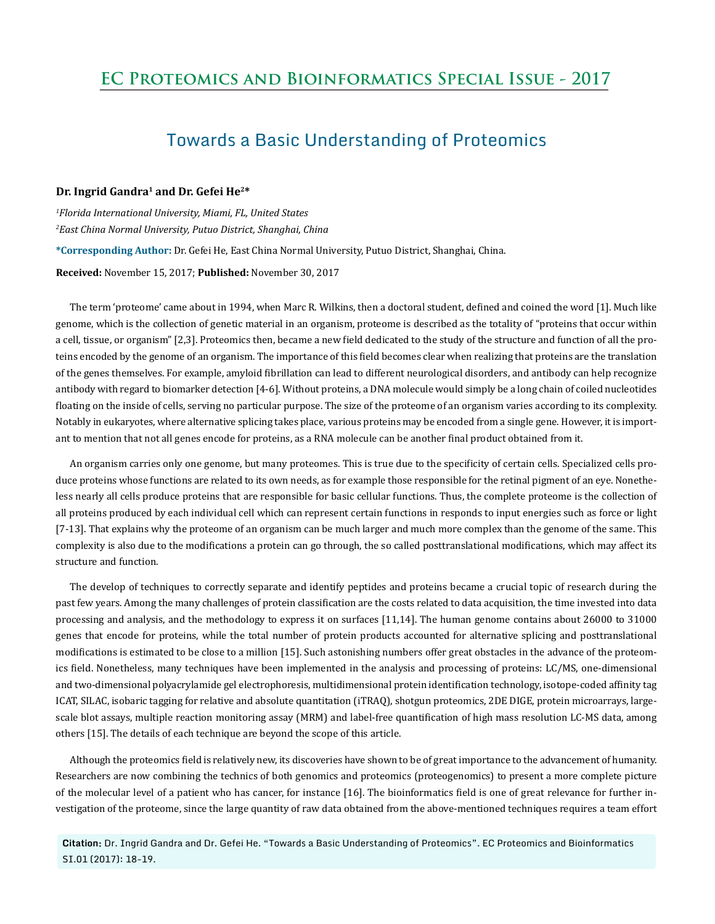## **EC Proteomics and Bioinformatics Special Issue - 2017**

# Towards a Basic Understanding of Proteomics

## **Dr. Ingrid Gandra1 and Dr. Gefei He2\***

*1 Florida International University, Miami, FL, United States 2 East China Normal University, Putuo District, Shanghai, China*  **\*Corresponding Author:** Dr. Gefei He, East China Normal University, Putuo District, Shanghai, China.

#### **Received:** November 15, 2017; **Published:** November 30, 2017

The term 'proteome' came about in 1994, when Marc R. Wilkins, then a doctoral student, defined and coined the word [1]. Much like genome, which is the collection of genetic material in an organism, proteome is described as the totality of "proteins that occur within a cell, tissue, or organism" [2,3]. Proteomics then, became a new field dedicated to the study of the structure and function of all the proteins encoded by the genome of an organism. The importance of this field becomes clear when realizing that proteins are the translation of the genes themselves. For example, amyloid fibrillation can lead to different neurological disorders, and antibody can help recognize antibody with regard to biomarker detection [4-6]. Without proteins, a DNA molecule would simply be a long chain of coiled nucleotides floating on the inside of cells, serving no particular purpose. The size of the proteome of an organism varies according to its complexity. Notably in eukaryotes, where alternative splicing takes place, various proteins may be encoded from a single gene. However, it is important to mention that not all genes encode for proteins, as a RNA molecule can be another final product obtained from it.

An organism carries only one genome, but many proteomes. This is true due to the specificity of certain cells. Specialized cells produce proteins whose functions are related to its own needs, as for example those responsible for the retinal pigment of an eye. Nonetheless nearly all cells produce proteins that are responsible for basic cellular functions. Thus, the complete proteome is the collection of all proteins produced by each individual cell which can represent certain functions in responds to input energies such as force or light [7-13]. That explains why the proteome of an organism can be much larger and much more complex than the genome of the same. This complexity is also due to the modifications a protein can go through, the so called posttranslational modifications, which may affect its structure and function.

The develop of techniques to correctly separate and identify peptides and proteins became a crucial topic of research during the past few years. Among the many challenges of protein classification are the costs related to data acquisition, the time invested into data processing and analysis, and the methodology to express it on surfaces [11,14]. The human genome contains about 26000 to 31000 genes that encode for proteins, while the total number of protein products accounted for alternative splicing and posttranslational modifications is estimated to be close to a million [15]. Such astonishing numbers offer great obstacles in the advance of the proteomics field. Nonetheless, many techniques have been implemented in the analysis and processing of proteins: LC/MS, one-dimensional and two-dimensional polyacrylamide gel electrophoresis, multidimensional protein identification technology, isotope-coded affinity tag ICAT, SILAC, isobaric tagging for relative and absolute quantitation (iTRAQ), shotgun proteomics, 2DE DIGE, protein microarrays, largescale blot assays, multiple reaction monitoring assay (MRM) and label-free quantification of high mass resolution LC-MS data, among others [15]. The details of each technique are beyond the scope of this article.

Although the proteomics field is relatively new, its discoveries have shown to be of great importance to the advancement of humanity. Researchers are now combining the technics of both genomics and proteomics (proteogenomics) to present a more complete picture of the molecular level of a patient who has cancer, for instance [16]. The bioinformatics field is one of great relevance for further investigation of the proteome, since the large quantity of raw data obtained from the above-mentioned techniques requires a team effort

**Citation:** Dr. Ingrid Gandra and Dr. Gefei He. "Towards a Basic Understanding of Proteomics". EC Proteomics and Bioinformatics SI.01 (2017): 18-19.